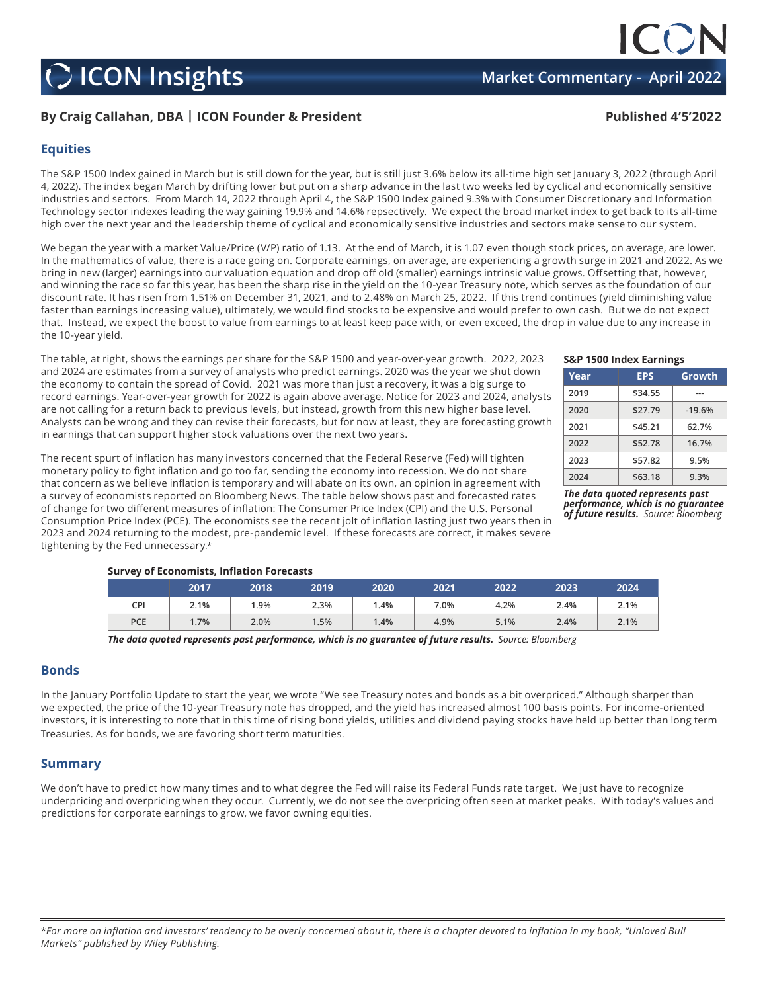## **C** ICON Insights **Market Commentary - April 202**

## **By Craig Callahan, DBA | ICON Founder & President Published 4'5'2022**

### **Equities**

The S&P 1500 Index gained in March but is still down for the year, but is still just 3.6% below its all-time high set January 3, 2022 (through April 4, 2022). The index began March by drifting lower but put on a sharp advance in the last two weeks led by cyclical and economically sensitive industries and sectors. From March 14, 2022 through April 4, the S&P 1500 Index gained 9.3% with Consumer Discretionary and Information Technology sector indexes leading the way gaining 19.9% and 14.6% repsectively. We expect the broad market index to get back to its all-time high over the next year and the leadership theme of cyclical and economically sensitive industries and sectors make sense to our system.

We began the year with a market Value/Price (V/P) ratio of 1.13. At the end of March, it is 1.07 even though stock prices, on average, are lower. In the mathematics of value, there is a race going on. Corporate earnings, on average, are experiencing a growth surge in 2021 and 2022. As we bring in new (larger) earnings into our valuation equation and drop off old (smaller) earnings intrinsic value grows. Offsetting that, however, and winning the race so far this year, has been the sharp rise in the yield on the 10-year Treasury note, which serves as the foundation of our discount rate. It has risen from 1.51% on December 31, 2021, and to 2.48% on March 25, 2022. If this trend continues (yield diminishing value faster than earnings increasing value), ultimately, we would find stocks to be expensive and would prefer to own cash. But we do not expect that. Instead, we expect the boost to value from earnings to at least keep pace with, or even exceed, the drop in value due to any increase in the 10-year yield.

The table, at right, shows the earnings per share for the S&P 1500 and year-over-year growth. 2022, 2023 and 2024 are estimates from a survey of analysts who predict earnings. 2020 was the year we shut down the economy to contain the spread of Covid. 2021 was more than just a recovery, it was a big surge to record earnings. Year-over-year growth for 2022 is again above average. Notice for 2023 and 2024, analysts are not calling for a return back to previous levels, but instead, growth from this new higher base level. Analysts can be wrong and they can revise their forecasts, but for now at least, they are forecasting growth in earnings that can support higher stock valuations over the next two years.

The recent spurt of inflation has many investors concerned that the Federal Reserve (Fed) will tighten monetary policy to fight inflation and go too far, sending the economy into recession. We do not share that concern as we believe inflation is temporary and will abate on its own, an opinion in agreement with a survey of economists reported on Bloomberg News. The table below shows past and forecasted rates of change for two different measures of inflation: The Consumer Price Index (CPI) and the U.S. Personal Consumption Price Index (PCE). The economists see the recent jolt of inflation lasting just two years then in 2023 and 2024 returning to the modest, pre-pandemic level. If these forecasts are correct, it makes severe tightening by the Fed unnecessary.\*

#### **S&P 1500 Index Earnings**

| Year | <b>EPS</b> | Growth   |  |  |
|------|------------|----------|--|--|
| 2019 | \$34.55    |          |  |  |
| 2020 | \$27.79    | $-19.6%$ |  |  |
| 2021 | \$45.21    | 62.7%    |  |  |
| 2022 | \$52.78    | 16.7%    |  |  |
| 2023 | \$57.82    | 9.5%     |  |  |
| 2024 | \$63.18    | 9.3%     |  |  |

*The data quoted represents past performance, which is no guarantee of future results. Source: Bloomberg*

#### **Survey of Economists, Inflation Forecasts**

|     | 2017 | 2018 | 2019 | 2020    | 2021 | 2022 | 2023 | 2024 |
|-----|------|------|------|---------|------|------|------|------|
| CPI | 2.1% | 1.9% | 2.3% | .4%     | 7.0% | 4.2% | 2.4% | 2.1% |
| PCE | 1.7% | 2.0% | 1.5% | $1.4\%$ | 4.9% | 5.1% | 2.4% | 2.1% |

*The data quoted represents past performance, which is no guarantee of future results. Source: Bloomberg*

#### **Bonds**

In the January Portfolio Update to start the year, we wrote "We see Treasury notes and bonds as a bit overpriced." Although sharper than we expected, the price of the 10-year Treasury note has dropped, and the yield has increased almost 100 basis points. For income-oriented investors, it is interesting to note that in this time of rising bond yields, utilities and dividend paying stocks have held up better than long term Treasuries. As for bonds, we are favoring short term maturities.

#### **Summary**

We don't have to predict how many times and to what degree the Fed will raise its Federal Funds rate target. We just have to recognize underpricing and overpricing when they occur. Currently, we do not see the overpricing often seen at market peaks. With today's values and predictions for corporate earnings to grow, we favor owning equities.